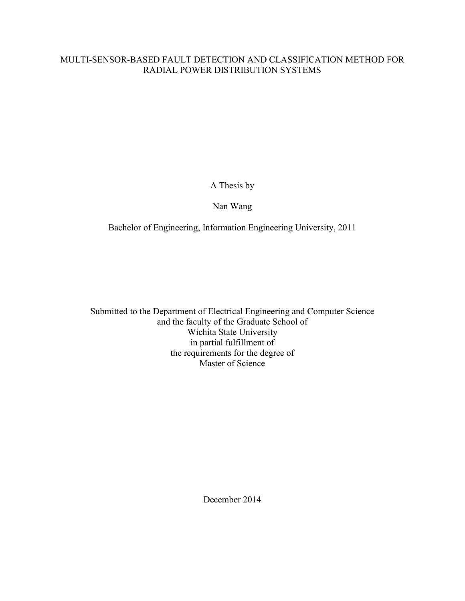# MULTI-SENSOR-BASED FAULT DETECTION AND CLASSIFICATION METHOD FOR RADIAL POWER DISTRIBUTION SYSTEMS

A Thesis by

# Nan Wang

Bachelor of Engineering, Information Engineering University, 2011

Submitted to the Department of Electrical Engineering and Computer Science and the faculty of the Graduate School of Wichita State University in partial fulfillment of the requirements for the degree of Master of Science

December 2014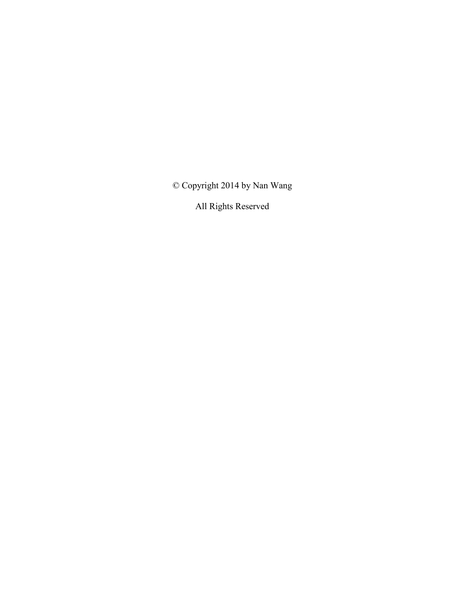© Copyright 2014 by Nan Wang

All Rights Reserved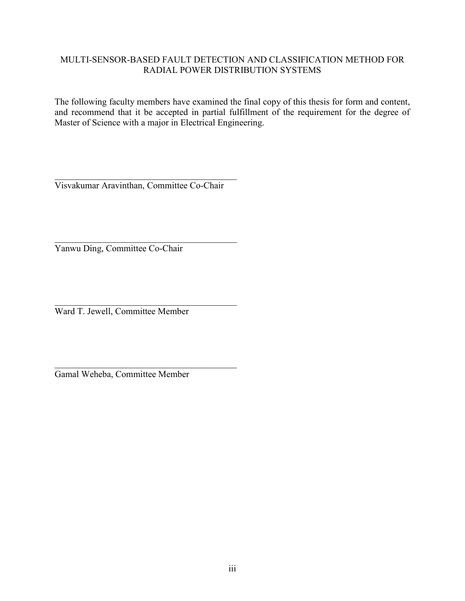# MULTI-SENSOR-BASED FAULT DETECTION AND CLASSIFICATION METHOD FOR RADIAL POWER DISTRIBUTION SYSTEMS

The following faculty members have examined the final copy of this thesis for form and content, and recommend that it be accepted in partial fulfillment of the requirement for the degree of Master of Science with a major in Electrical Engineering.

 $\overline{\phantom{a}}$  , and the set of the set of the set of the set of the set of the set of the set of the set of the set of the set of the set of the set of the set of the set of the set of the set of the set of the set of the s Visvakumar Aravinthan, Committee Co-Chair

 $\overline{\phantom{a}}$  , and the set of the set of the set of the set of the set of the set of the set of the set of the set of the set of the set of the set of the set of the set of the set of the set of the set of the set of the s Yanwu Ding, Committee Co-Chair

 $\overline{\phantom{a}}$  , and the set of the set of the set of the set of the set of the set of the set of the set of the set of the set of the set of the set of the set of the set of the set of the set of the set of the set of the s Ward T. Jewell, Committee Member

 $\overline{\phantom{a}}$  , and the set of the set of the set of the set of the set of the set of the set of the set of the set of the set of the set of the set of the set of the set of the set of the set of the set of the set of the s Gamal Weheba, Committee Member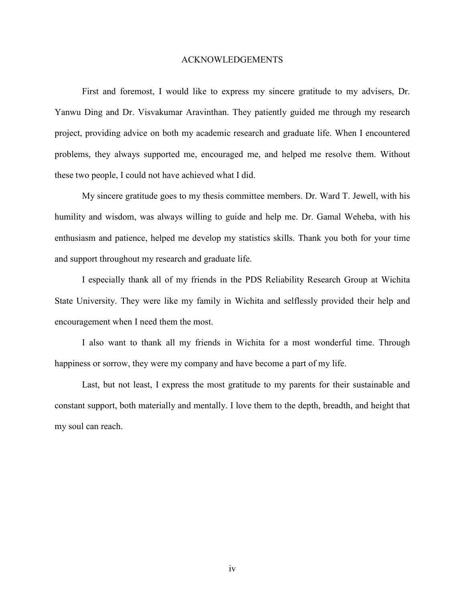#### ACKNOWLEDGEMENTS

First and foremost, I would like to express my sincere gratitude to my advisers, Dr. Yanwu Ding and Dr. Visvakumar Aravinthan. They patiently guided me through my research project, providing advice on both my academic research and graduate life. When I encountered problems, they always supported me, encouraged me, and helped me resolve them. Without these two people, I could not have achieved what I did.

My sincere gratitude goes to my thesis committee members. Dr. Ward T. Jewell, with his humility and wisdom, was always willing to guide and help me. Dr. Gamal Weheba, with his enthusiasm and patience, helped me develop my statistics skills. Thank you both for your time and support throughout my research and graduate life.

I especially thank all of my friends in the PDS Reliability Research Group at Wichita State University. They were like my family in Wichita and selflessly provided their help and encouragement when I need them the most.

I also want to thank all my friends in Wichita for a most wonderful time. Through happiness or sorrow, they were my company and have become a part of my life.

Last, but not least, I express the most gratitude to my parents for their sustainable and constant support, both materially and mentally. I love them to the depth, breadth, and height that my soul can reach.

iv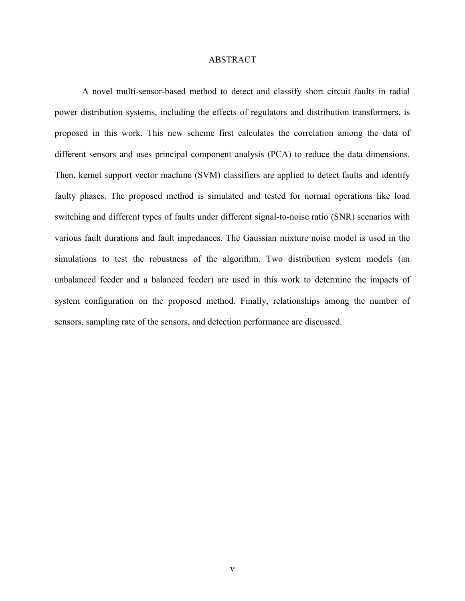### ABSTRACT

A novel multi-sensor-based method to detect and classify short circuit faults in radial power distribution systems, including the effects of regulators and distribution transformers, is proposed in this work. This new scheme first calculates the correlation among the data of different sensors and uses principal component analysis (PCA) to reduce the data dimensions. Then, kernel support vector machine (SVM) classifiers are applied to detect faults and identify faulty phases. The proposed method is simulated and tested for normal operations like load switching and different types of faults under different signal-to-noise ratio (SNR) scenarios with various fault durations and fault impedances. The Gaussian mixture noise model is used in the simulations to test the robustness of the algorithm. Two distribution system models (an unbalanced feeder and a balanced feeder) are used in this work to determine the impacts of system configuration on the proposed method. Finally, relationships among the number of sensors, sampling rate of the sensors, and detection performance are discussed.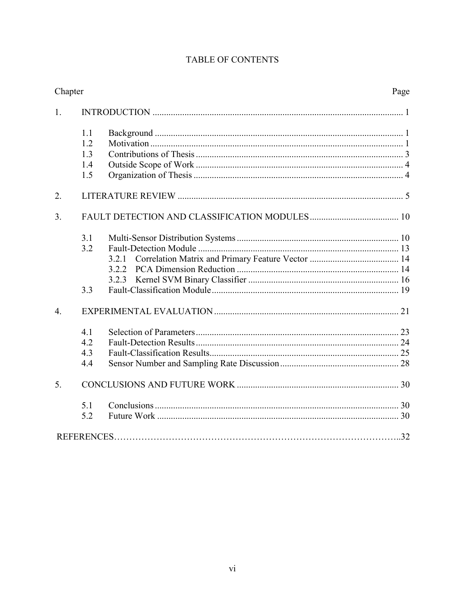| Chapter          |     |       | Page |
|------------------|-----|-------|------|
| 1.               |     |       |      |
|                  | 1.1 |       |      |
|                  | 1.2 |       |      |
|                  | 1.3 |       |      |
|                  | 1.4 |       |      |
|                  | 1.5 |       |      |
| 2.               |     |       |      |
| $\overline{3}$ . |     |       |      |
|                  | 3.1 |       |      |
|                  | 3.2 |       |      |
|                  |     | 3.2.1 |      |
|                  |     |       |      |
|                  |     |       |      |
|                  | 3.3 |       |      |
| $\overline{4}$ . |     |       |      |
|                  | 4.1 |       |      |
|                  | 4.2 |       |      |
|                  | 4.3 |       |      |
|                  | 4.4 |       |      |
| 5.               |     |       |      |
|                  | 5.1 |       |      |
|                  | 5.2 |       |      |
|                  |     |       |      |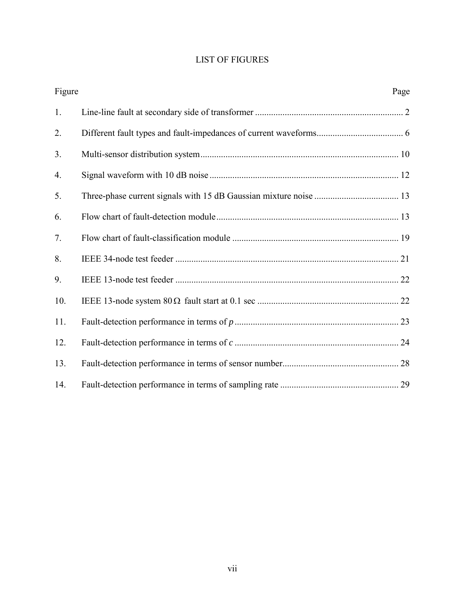# LIST OF FIGURES

| Figure | Page |
|--------|------|
| 1.     |      |
| 2.     |      |
| 3.     |      |
| 4.     |      |
| 5.     |      |
| 6.     |      |
| 7.     |      |
| 8.     |      |
| 9.     |      |
| 10.    |      |
| 11.    |      |
| 12.    |      |
| 13.    |      |
| 14.    |      |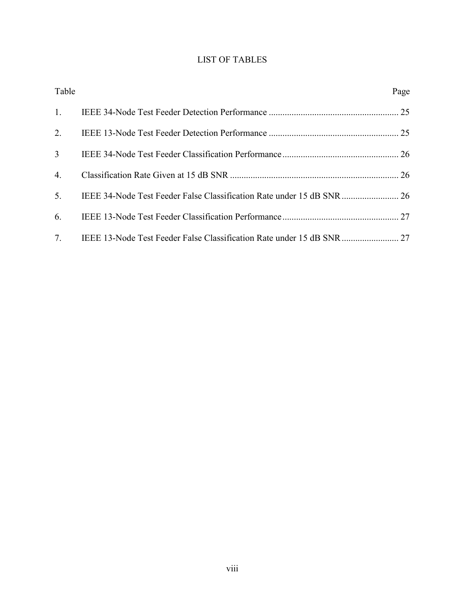# LIST OF TABLES

| Table          | Page |
|----------------|------|
| 1.             |      |
| 2.             |      |
| 3 <sup>7</sup> |      |
| 4.             |      |
| 5 <sub>1</sub> |      |
| 6.             |      |
| 7.             |      |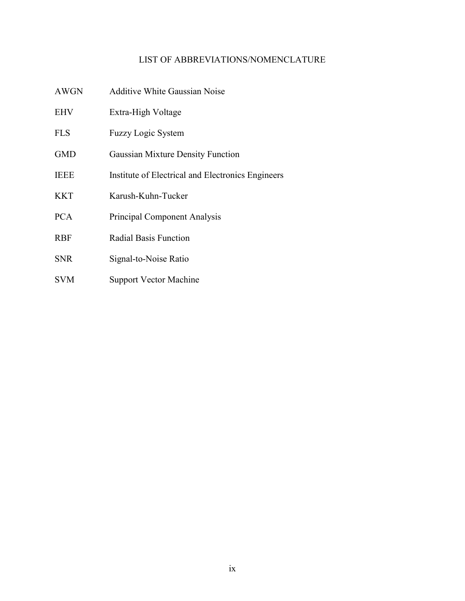## LIST OF ABBREVIATIONS/NOMENCLATURE

- AWGN Additive White Gaussian Noise
- EHV Extra-High Voltage
- FLS Fuzzy Logic System
- GMD Gaussian Mixture Density Function
- IEEE Institute of Electrical and Electronics Engineers
- KKT Karush-Kuhn-Tucker
- PCA Principal Component Analysis
- RBF Radial Basis Function
- SNR Signal-to-Noise Ratio
- SVM Support Vector Machine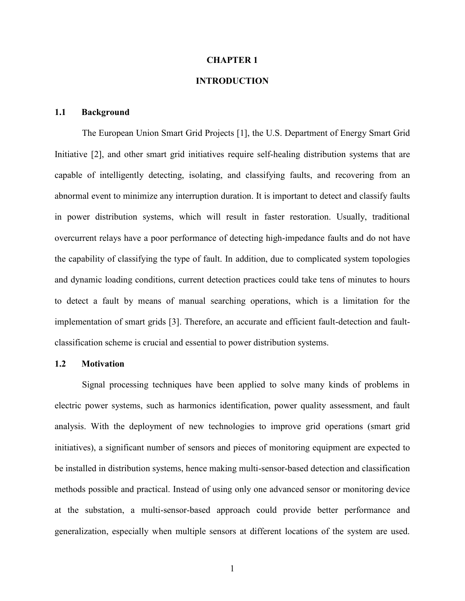#### **CHAPTER 1**

### **INTRODUCTION**

### <span id="page-9-0"></span>**1.1 Background**

The European Union Smart Grid Projects [1], the U.S. Department of Energy Smart Grid Initiative [2], and other smart grid initiatives require self-healing distribution systems that are capable of intelligently detecting, isolating, and classifying faults, and recovering from an abnormal event to minimize any interruption duration. It is important to detect and classify faults in power distribution systems, which will result in faster restoration. Usually, traditional overcurrent relays have a poor performance of detecting high-impedance faults and do not have the capability of classifying the type of fault. In addition, due to complicated system topologies and dynamic loading conditions, current detection practices could take tens of minutes to hours to detect a fault by means of manual searching operations, which is a limitation for the implementation of smart grids [3]. Therefore, an accurate and efficient fault-detection and faultclassification scheme is crucial and essential to power distribution systems.

### <span id="page-9-1"></span>**1.2 Motivation**

Signal processing techniques have been applied to solve many kinds of problems in electric power systems, such as harmonics identification, power quality assessment, and fault analysis. With the deployment of new technologies to improve grid operations (smart grid initiatives), a significant number of sensors and pieces of monitoring equipment are expected to be installed in distribution systems, hence making multi-sensor-based detection and classification methods possible and practical. Instead of using only one advanced sensor or monitoring device at the substation, a multi-sensor-based approach could provide better performance and generalization, especially when multiple sensors at different locations of the system are used.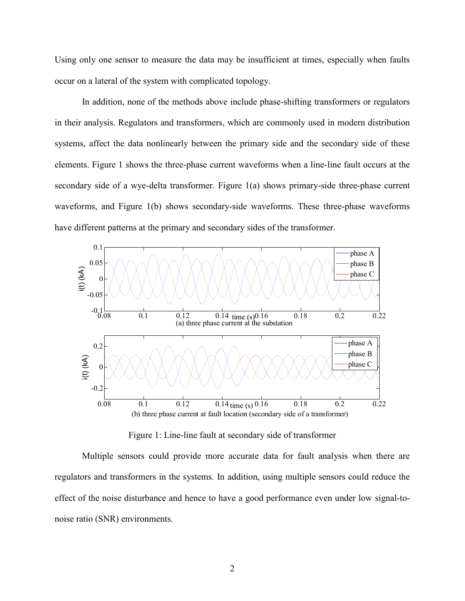Using only one sensor to measure the data may be insufficient at times, especially when faults occur on a lateral of the system with complicated topology.

In addition, none of the methods above include phase-shifting transformers or regulators in their analysis. Regulators and transformers, which are commonly used in modern distribution systems, affect the data nonlinearly between the primary side and the secondary side of these elements. Figure 1 shows the three-phase current waveforms when a line-line fault occurs at the secondary side of a wye-delta transformer. Figure 1(a) shows primary-side three-phase current waveforms, and Figure 1(b) shows secondary-side waveforms. These three-phase waveforms have different patterns at the primary and secondary sides of the transformer.



Figure 1: Line-line fault at secondary side of transformer

Multiple sensors could provide more accurate data for fault analysis when there are regulators and transformers in the systems. In addition, using multiple sensors could reduce the effect of the noise disturbance and hence to have a good performance even under low signal-tonoise ratio (SNR) environments.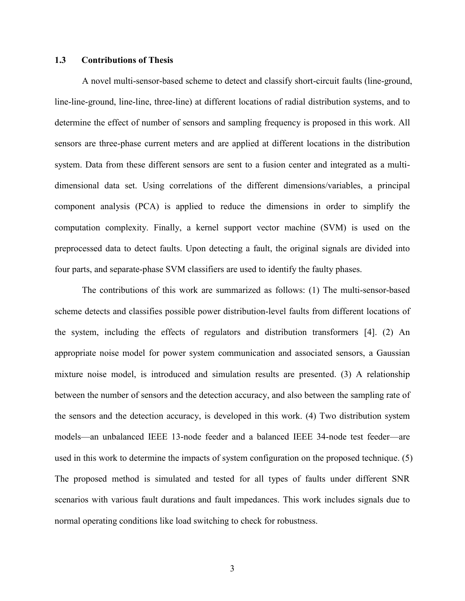### <span id="page-11-0"></span>**1.3 Contributions of Thesis**

A novel multi-sensor-based scheme to detect and classify short-circuit faults (line-ground, line-line-ground, line-line, three-line) at different locations of radial distribution systems, and to determine the effect of number of sensors and sampling frequency is proposed in this work. All sensors are three-phase current meters and are applied at different locations in the distribution system. Data from these different sensors are sent to a fusion center and integrated as a multidimensional data set. Using correlations of the different dimensions/variables, a principal component analysis (PCA) is applied to reduce the dimensions in order to simplify the computation complexity. Finally, a kernel support vector machine (SVM) is used on the preprocessed data to detect faults. Upon detecting a fault, the original signals are divided into four parts, and separate-phase SVM classifiers are used to identify the faulty phases.

The contributions of this work are summarized as follows: (1) The multi-sensor-based scheme detects and classifies possible power distribution-level faults from different locations of the system, including the effects of regulators and distribution transformers [4]. (2) An appropriate noise model for power system communication and associated sensors, a Gaussian mixture noise model, is introduced and simulation results are presented. (3) A relationship between the number of sensors and the detection accuracy, and also between the sampling rate of the sensors and the detection accuracy, is developed in this work. (4) Two distribution system models—an unbalanced IEEE 13-node feeder and a balanced IEEE 34-node test feeder—are used in this work to determine the impacts of system configuration on the proposed technique. (5) The proposed method is simulated and tested for all types of faults under different SNR scenarios with various fault durations and fault impedances. This work includes signals due to normal operating conditions like load switching to check for robustness.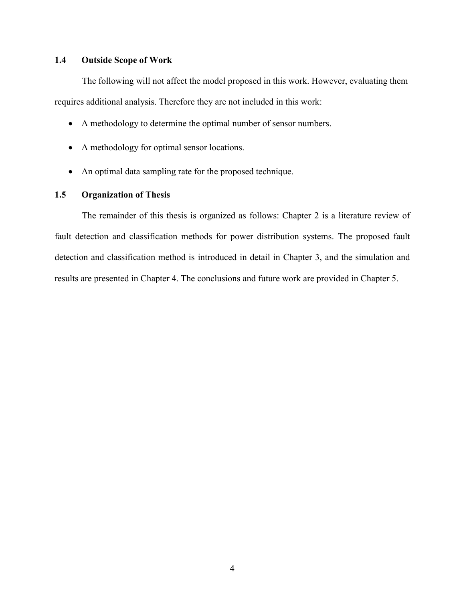### <span id="page-12-0"></span>**1.4 Outside Scope of Work**

The following will not affect the model proposed in this work. However, evaluating them requires additional analysis. Therefore they are not included in this work:

- A methodology to determine the optimal number of sensor numbers.
- A methodology for optimal sensor locations.
- An optimal data sampling rate for the proposed technique.

#### <span id="page-12-1"></span>**1.5 Organization of Thesis**

The remainder of this thesis is organized as follows: Chapter 2 is a literature review of fault detection and classification methods for power distribution systems. The proposed fault detection and classification method is introduced in detail in Chapter 3, and the simulation and results are presented in Chapter 4. The conclusions and future work are provided in Chapter 5.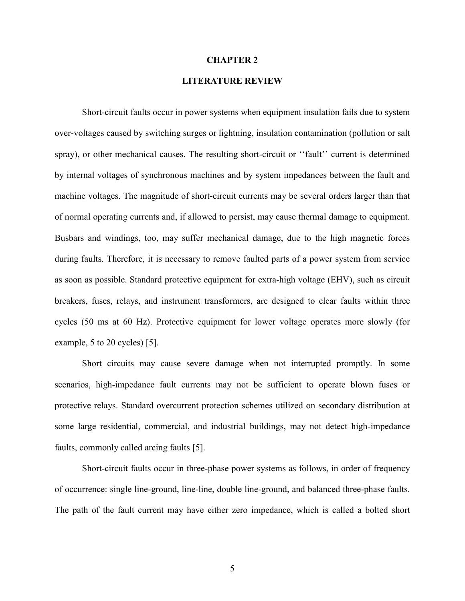#### **CHAPTER 2**

### **LITERATURE REVIEW**

<span id="page-13-0"></span>Short-circuit faults occur in power systems when equipment insulation fails due to system over-voltages caused by switching surges or lightning, insulation contamination (pollution or salt spray), or other mechanical causes. The resulting short-circuit or ''fault'' current is determined by internal voltages of synchronous machines and by system impedances between the fault and machine voltages. The magnitude of short-circuit currents may be several orders larger than that of normal operating currents and, if allowed to persist, may cause thermal damage to equipment. Busbars and windings, too, may suffer mechanical damage, due to the high magnetic forces during faults. Therefore, it is necessary to remove faulted parts of a power system from service as soon as possible. Standard protective equipment for extra-high voltage (EHV), such as circuit breakers, fuses, relays, and instrument transformers, are designed to clear faults within three cycles (50 ms at 60 Hz). Protective equipment for lower voltage operates more slowly (for example, 5 to 20 cycles) [5].

Short circuits may cause severe damage when not interrupted promptly. In some scenarios, high-impedance fault currents may not be sufficient to operate blown fuses or protective relays. Standard overcurrent protection schemes utilized on secondary distribution at some large residential, commercial, and industrial buildings, may not detect high-impedance faults, commonly called arcing faults [5].

Short-circuit faults occur in three-phase power systems as follows, in order of frequency of occurrence: single line-ground, line-line, double line-ground, and balanced three-phase faults. The path of the fault current may have either zero impedance, which is called a bolted short

5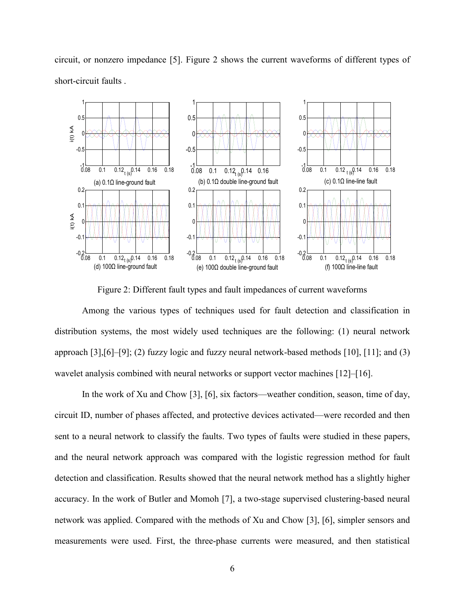

circuit, or nonzero impedance [5]. Figure 2 shows the current waveforms of different types of short-circuit faults .

Figure 2: Different fault types and fault impedances of current waveforms

Among the various types of techniques used for fault detection and classification in distribution systems, the most widely used techniques are the following: (1) neural network approach [3],[6]–[9]; (2) fuzzy logic and fuzzy neural network-based methods [10], [11]; and (3) wavelet analysis combined with neural networks or support vector machines [12]–[16].

In the work of Xu and Chow [3], [6], six factors—weather condition, season, time of day, circuit ID, number of phases affected, and protective devices activated—were recorded and then sent to a neural network to classify the faults. Two types of faults were studied in these papers, and the neural network approach was compared with the logistic regression method for fault detection and classification. Results showed that the neural network method has a slightly higher accuracy. In the work of Butler and Momoh [7], a two-stage supervised clustering-based neural network was applied. Compared with the methods of Xu and Chow [3], [6], simpler sensors and measurements were used. First, the three-phase currents were measured, and then statistical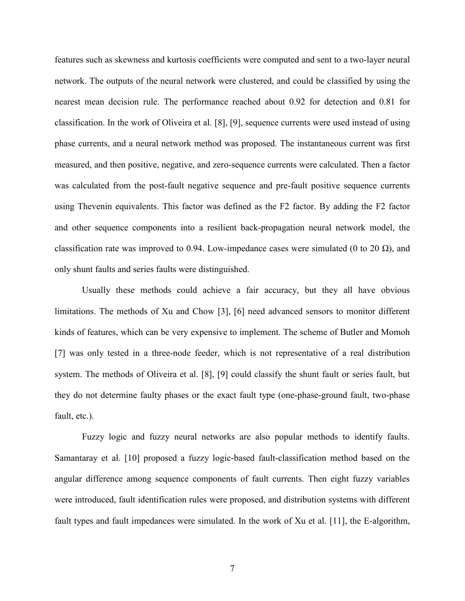features such as skewness and kurtosis coefficients were computed and sent to a two-layer neural network. The outputs of the neural network were clustered, and could be classified by using the nearest mean decision rule. The performance reached about 0.92 for detection and 0.81 for classification. In the work of Oliveira et al. [8], [9], sequence currents were used instead of using phase currents, and a neural network method was proposed. The instantaneous current was first measured, and then positive, negative, and zero-sequence currents were calculated. Then a factor was calculated from the post-fault negative sequence and pre-fault positive sequence currents using Thevenin equivalents. This factor was defined as the F2 factor. By adding the F2 factor and other sequence components into a resilient back-propagation neural network model, the classification rate was improved to 0.94. Low-impedance cases were simulated (0 to 20  $\Omega$ ), and only shunt faults and series faults were distinguished.

Usually these methods could achieve a fair accuracy, but they all have obvious limitations. The methods of Xu and Chow [3], [6] need advanced sensors to monitor different kinds of features, which can be very expensive to implement. The scheme of Butler and Momoh [7] was only tested in a three-node feeder, which is not representative of a real distribution system. The methods of Oliveira et al. [8], [9] could classify the shunt fault or series fault, but they do not determine faulty phases or the exact fault type (one-phase-ground fault, two-phase fault, etc.).

Fuzzy logic and fuzzy neural networks are also popular methods to identify faults. Samantaray et al. [10] proposed a fuzzy logic-based fault-classification method based on the angular difference among sequence components of fault currents. Then eight fuzzy variables were introduced, fault identification rules were proposed, and distribution systems with different fault types and fault impedances were simulated. In the work of Xu et al. [11], the E-algorithm,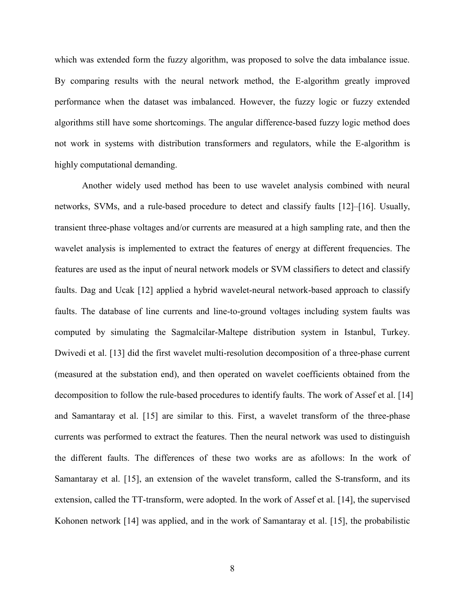which was extended form the fuzzy algorithm, was proposed to solve the data imbalance issue. By comparing results with the neural network method, the E-algorithm greatly improved performance when the dataset was imbalanced. However, the fuzzy logic or fuzzy extended algorithms still have some shortcomings. The angular difference-based fuzzy logic method does not work in systems with distribution transformers and regulators, while the E-algorithm is highly computational demanding.

Another widely used method has been to use wavelet analysis combined with neural networks, SVMs, and a rule-based procedure to detect and classify faults [12]–[16]. Usually, transient three-phase voltages and/or currents are measured at a high sampling rate, and then the wavelet analysis is implemented to extract the features of energy at different frequencies. The features are used as the input of neural network models or SVM classifiers to detect and classify faults. Dag and Ucak [12] applied a hybrid wavelet-neural network-based approach to classify faults. The database of line currents and line-to-ground voltages including system faults was computed by simulating the Sagmalcilar-Maltepe distribution system in Istanbul, Turkey. Dwivedi et al. [13] did the first wavelet multi-resolution decomposition of a three-phase current (measured at the substation end), and then operated on wavelet coefficients obtained from the decomposition to follow the rule-based procedures to identify faults. The work of Assef et al. [14] and Samantaray et al. [15] are similar to this. First, a wavelet transform of the three-phase currents was performed to extract the features. Then the neural network was used to distinguish the different faults. The differences of these two works are as afollows: In the work of Samantaray et al. [15], an extension of the wavelet transform, called the S-transform, and its extension, called the TT-transform, were adopted. In the work of Assef et al. [14], the supervised Kohonen network [14] was applied, and in the work of Samantaray et al. [15], the probabilistic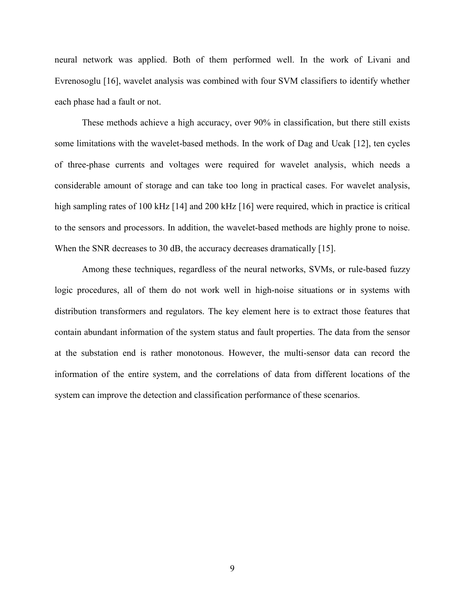neural network was applied. Both of them performed well. In the work of Livani and Evrenosoglu [16], wavelet analysis was combined with four SVM classifiers to identify whether each phase had a fault or not.

These methods achieve a high accuracy, over 90% in classification, but there still exists some limitations with the wavelet-based methods. In the work of Dag and Ucak [12], ten cycles of three-phase currents and voltages were required for wavelet analysis, which needs a considerable amount of storage and can take too long in practical cases. For wavelet analysis, high sampling rates of 100 kHz [14] and 200 kHz [16] were required, which in practice is critical to the sensors and processors. In addition, the wavelet-based methods are highly prone to noise. When the SNR decreases to 30 dB, the accuracy decreases dramatically [15].

Among these techniques, regardless of the neural networks, SVMs, or rule-based fuzzy logic procedures, all of them do not work well in high-noise situations or in systems with distribution transformers and regulators. The key element here is to extract those features that contain abundant information of the system status and fault properties. The data from the sensor at the substation end is rather monotonous. However, the multi-sensor data can record the information of the entire system, and the correlations of data from different locations of the system can improve the detection and classification performance of these scenarios.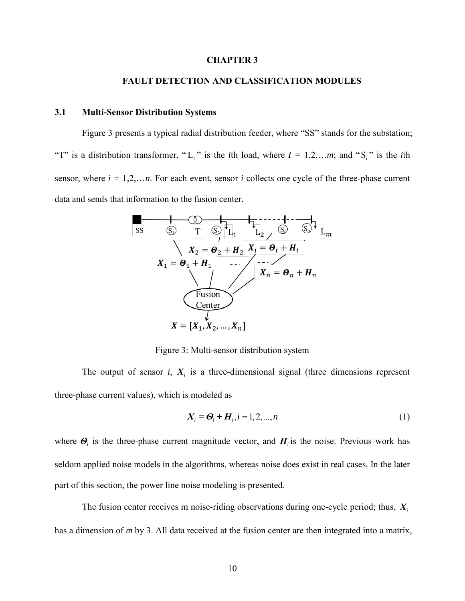#### **CHAPTER 3**

#### **FAULT DETECTION AND CLASSIFICATION MODULES**

### <span id="page-18-1"></span><span id="page-18-0"></span>**3.1 Multi-Sensor Distribution Systems**

Figure 3 presents a typical radial distribution feeder, where "SS" stands for the substation; "T" is a distribution transformer, "L<sub>i</sub>" is the *i*th load, where  $I = 1, 2, \ldots, m$ ; and "S<sub>i</sub>" is the *i*th sensor, where  $i = 1,2,...n$ . For each event, sensor  $i$  collects one cycle of the three-phase current data and sends that information to the fusion center.



Figure 3: Multi-sensor distribution system

The output of sensor  $i$ ,  $X_i$  is a three-dimensional signal (three dimensions represent three-phase current values), which is modeled as

$$
X_i = \mathbf{\Theta}_i + \mathbf{H}_i, i = 1, 2, ..., n
$$
 (1)

where  $\boldsymbol{\Theta}_i$  is the three-phase current magnitude vector, and  $\boldsymbol{H}_i$  is the noise. Previous work has seldom applied noise models in the algorithms, whereas noise does exist in real cases. In the later part of this section, the power line noise modeling is presented.

The fusion center receives m noise-riding observations during one-cycle period; thus, *Xi* has a dimension of *m* by 3. All data received at the fusion center are then integrated into a matrix,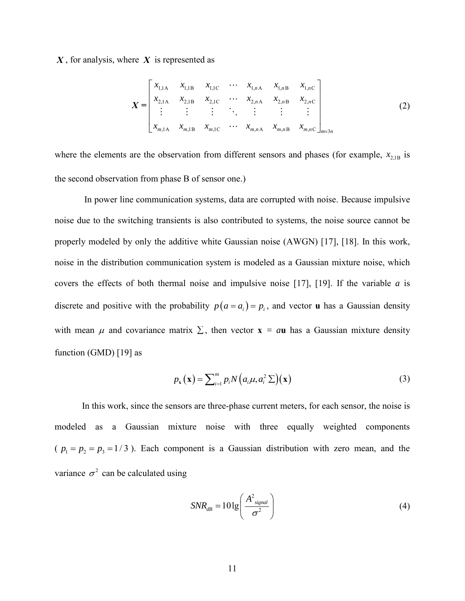, for analysis, where *X* is represented as

$$
X = \begin{bmatrix} x_{1,1A} & x_{1,1B} & x_{1,1C} & \cdots & x_{1,nA} & x_{1,nB} & x_{1,nC} \\ x_{2,1A} & x_{2,1B} & x_{2,1C} & \cdots & x_{2,nA} & x_{2,nB} & x_{2,nC} \\ \vdots & \vdots & \vdots & \ddots & \vdots & \vdots & \vdots \\ x_{m,1A} & x_{m,1B} & x_{m,1C} & \cdots & x_{m,nA} & x_{m,nB} & x_{m,nC} \end{bmatrix}_{m \times 3n}
$$
 (2)

where the elements are the observation from different sensors and phases (for example,  $x_{2,1B}$  is the second observation from phase B of sensor one.)

X, for analysis, where X is represented as<br>  $X = \begin{bmatrix} x_{11A} & x_{11B} & x_{11C} & \cdots \\ x_{21A} & x_{21B} & x_{21C} & \cdots \\ x_{21A} & x_{21B} & x_{21C} & \cdots \\ \vdots & \vdots & \vdots & \ddots \\ x_{m1A} & x_{m1B} & x_{m1C} & \cdots \end{bmatrix}$ <br>
where the elements are the observation from In power line communication systems, data are corrupted with noise. Because impulsive noise due to the switching transients is also contributed to systems, the noise source cannot be properly modeled by only the additive white Gaussian noise (AWGN) [17], [18]. In this work, noise in the distribution communication system is modeled as a Gaussian mixture noise, which covers the effects of both thermal noise and impulsive noise [17], [19]. If the variable *a* is discrete and positive with the probability  $p(a = a_i) = p_i$ , and vector **u** has a Gaussian density with mean  $\mu$  and covariance matrix  $\Sigma$ , then vector  $\mathbf{x} = a\mathbf{u}$  has a Gaussian mixture density function (GMD) [19] as

$$
p_{\mathbf{x}}(\mathbf{x}) = \sum_{i=1}^{m} p_{i} N\left(a_{i}\mu, a_{i}^{2} \sum\right)(\mathbf{x})
$$
\n(3)

In this work, since the sensors are three-phase current meters, for each sensor, the noise is modeled as a Gaussian mixture noise with three equally weighted components  $(p_1 = p_2 = p_3 = 1/3)$ . Each component is a Gaussian distribution with zero mean, and the variance  $\sigma^2$  can be calculated using

$$
SNR_{dB} = 10 \lg \left( \frac{A^2_{signal}}{\sigma^2} \right)
$$
 (4)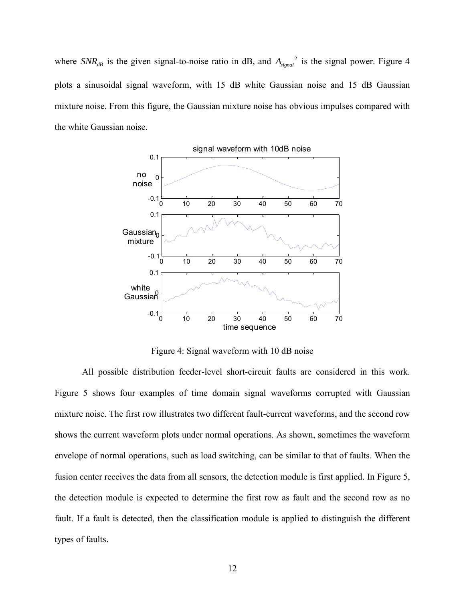where  $SNR_{dB}$  is the given signal-to-noise ratio in dB, and  $A_{signal}^2$  is the signal power. Figure 4 plots a sinusoidal signal waveform, with 15 dB white Gaussian noise and 15 dB Gaussian mixture noise. From this figure, the Gaussian mixture noise has obvious impulses compared with the white Gaussian noise.



Figure 4: Signal waveform with 10 dB noise

All possible distribution feeder-level short-circuit faults are considered in this work. Figure 5 shows four examples of time domain signal waveforms corrupted with Gaussian mixture noise. The first row illustrates two different fault-current waveforms, and the second row shows the current waveform plots under normal operations. As shown, sometimes the waveform envelope of normal operations, such as load switching, can be similar to that of faults. When the fusion center receives the data from all sensors, the detection module is first applied. In Figure 5, the detection module is expected to determine the first row as fault and the second row as no fault. If a fault is detected, then the classification module is applied to distinguish the different types of faults.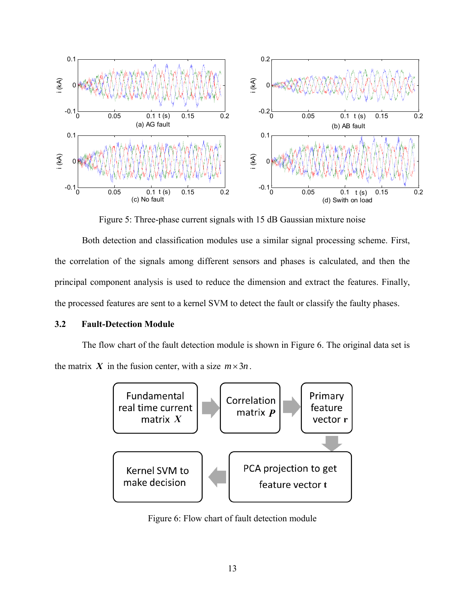

Figure 5: Three-phase current signals with 15 dB Gaussian mixture noise

Both detection and classification modules use a similar signal processing scheme. First, the correlation of the signals among different sensors and phases is calculated, and then the principal component analysis is used to reduce the dimension and extract the features. Finally, the processed features are sent to a kernel SVM to detect the fault or classify the faulty phases.

### <span id="page-21-0"></span>**3.2 Fault-Detection Module**

The flow chart of the fault detection module is shown in Figure 6. The original data set is the matrix X in the fusion center, with a size  $m \times 3n$ .



Figure 6: Flow chart of fault detection module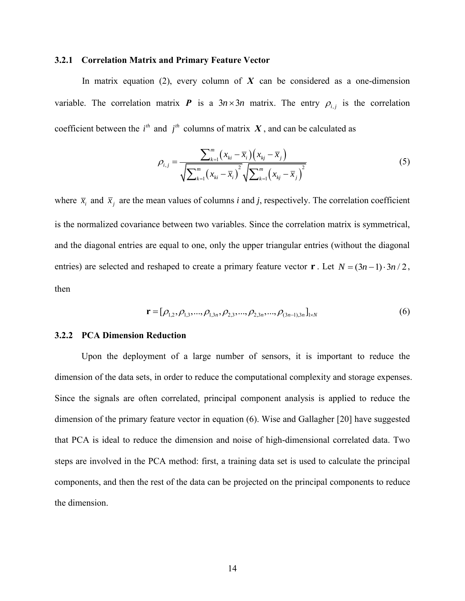#### <span id="page-22-0"></span>**3.2.1 Correlation Matrix and Primary Feature Vector**

In matrix equation  $(2)$ , every column of  $X$  can be considered as a one-dimension variable. The correlation matrix **P** is a  $3n \times 3n$  matrix. The entry  $\rho_{i,j}$  is the correlation

coefficient between the *i*<sup>th</sup> and *j*<sup>th</sup> columns of matrix *X*, and can be calculated as\n
$$
\rho_{i,j} = \frac{\sum_{k=1}^{m} (x_{ki} - \overline{x}_i)(x_{kj} - \overline{x}_j)}{\sqrt{\sum_{k=1}^{m} (x_{ki} - \overline{x}_i)^2} \sqrt{\sum_{k=1}^{m} (x_{kj} - \overline{x}_j)^2}}
$$
\n(5)

where  $\bar{x}_i$  and  $\bar{x}_j$  are the mean values of columns *i* and *j*, respectively. The correlation coefficient is the normalized covariance between two variables. Since the correlation matrix is symmetrical, and the diagonal entries are equal to one, only the upper triangular entries (without the diagonal entries) are selected and reshaped to create a primary feature vector **r**. Let  $N = (3n-1) \cdot 3n/2$ , then

$$
\mathbf{r} = [\rho_{1,2}, \rho_{1,3}, ..., \rho_{1,3n}, \rho_{2,3}, ..., \rho_{2,3n}, ..., \rho_{(3n-1),3n}]_{1 \times N}
$$
(6)

### <span id="page-22-1"></span>**3.2.2 PCA Dimension Reduction**

 Upon the deployment of a large number of sensors, it is important to reduce the dimension of the data sets, in order to reduce the computational complexity and storage expenses. Since the signals are often correlated, principal component analysis is applied to reduce the dimension of the primary feature vector in equation (6). Wise and Gallagher [20] have suggested that PCA is ideal to reduce the dimension and noise of high-dimensional correlated data. Two steps are involved in the PCA method: first, a training data set is used to calculate the principal components, and then the rest of the data can be projected on the principal components to reduce the dimension.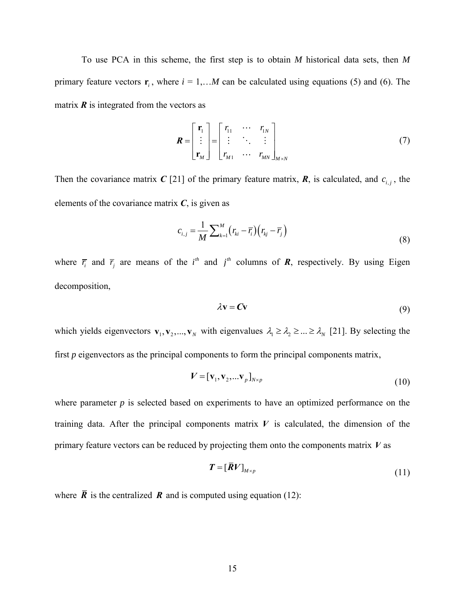To use PCA in this scheme, the first step is to obtain *M* historical data sets, then *M* primary feature vectors  $\mathbf{r}_i$ , where  $i = 1,...M$  can be calculated using equations (5) and (6). The matrix  $\vec{R}$  is integrated from the vectors as

$$
\boldsymbol{R} = \begin{bmatrix} \mathbf{r}_1 \\ \vdots \\ \mathbf{r}_M \end{bmatrix} = \begin{bmatrix} r_{11} & \cdots & r_{1N} \\ \vdots & \ddots & \vdots \\ r_{M1} & \cdots & r_{MN} \end{bmatrix}_{M \times N}
$$
(7)

Then the covariance matrix C [21] of the primary feature matrix,  $\mathbf{R}$ , is calculated, and  $c_{i,j}$ , the elements of the covariance matrix  $C$ , is given as

$$
c_{i,j} = \frac{1}{M} \sum_{k=1}^{M} (r_{ki} - \overline{r}_i) (r_{kj} - \overline{r}_j)
$$
\n(8)

where  $\overline{r}_i$  and  $\overline{r}_j$  are means of the *i*<sup>th</sup> and *j*<sup>th</sup> columns of **R**, respectively. By using Eigen decomposition,

$$
\lambda \mathbf{v} = \mathbf{C} \mathbf{v} \tag{9}
$$

which yields eigenvectors  $\mathbf{v}_1, \mathbf{v}_2, ..., \mathbf{v}_N$  with eigenvalues  $\lambda_1 \geq \lambda_2 \geq ... \geq \lambda_N$  [21]. By selecting the first *p* eigenvectors as the principal components to form the principal components matrix,

$$
\boldsymbol{V} = [\mathbf{v}_1, \mathbf{v}_2, \dots, \mathbf{v}_p]_{N \times p} \tag{10}
$$

where parameter *p* is selected based on experiments to have an optimized performance on the training data. After the principal components matrix  $V$  is calculated, the dimension of the primary feature vectors can be reduced by projecting them onto the components matrix *V* as

$$
T = [\overline{R}V]_{M \times p} \tag{11}
$$

where  $\vec{R}$  is the centralized  $\vec{R}$  and is computed using equation (12):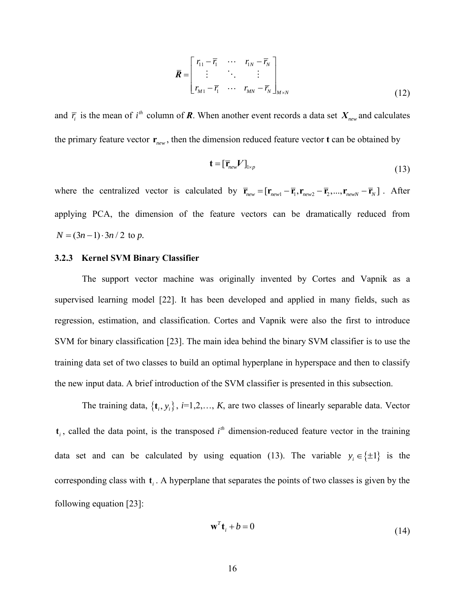$$
\overline{\boldsymbol{R}} = \begin{bmatrix} r_{11} - \overline{r}_1 & \cdots & r_{1N} - \overline{r}_N \\ \vdots & \ddots & \vdots \\ r_{M1} - \overline{r}_1 & \cdots & r_{MN} - \overline{r}_N \end{bmatrix}_{M \times N}
$$
(12)

and  $\bar{r}_i$  is the mean of  $i^{th}$  column of **R**. When another event records a data set  $X_{new}$  and calculates the primary feature vector  $\mathbf{r}_{new}$ , then the dimension reduced feature vector **t** can be obtained by

$$
\mathbf{t} = [\overline{\mathbf{r}}_{new} \mathbf{V}]_{1 \times p} \tag{13}
$$

where the centralized vector is calculated by  $\overline{\mathbf{r}}_{new} = [\mathbf{r}_{new1} - \overline{\mathbf{r}}_1, \mathbf{r}_{new2} - \overline{\mathbf{r}}_2, ..., \mathbf{r}_{newN} - \overline{\mathbf{r}}_N]$ . After applying PCA, the dimension of the feature vectors can be dramatically reduced from  $N = (3n - 1) \cdot 3n / 2$  to *p*.

#### <span id="page-24-0"></span>**3.2.3 Kernel SVM Binary Classifier**

The support vector machine was originally invented by Cortes and Vapnik as a supervised learning model [22]. It has been developed and applied in many fields, such as regression, estimation, and classification. Cortes and Vapnik were also the first to introduce SVM for binary classification [23]. The main idea behind the binary SVM classifier is to use the training data set of two classes to build an optimal hyperplane in hyperspace and then to classify the new input data. A brief introduction of the SVM classifier is presented in this subsection.

The training data,  $\{t_i, y_i\}$ ,  $i=1,2,..., K$ , are two classes of linearly separable data. Vector  $t_i$ , called the data point, is the transposed  $i<sup>th</sup>$  dimension-reduced feature vector in the training data set and can be calculated by using equation (13). The variable  $y_i \in \{\pm 1\}$  is the corresponding class with  $t_i$ . A hyperplane that separates the points of two classes is given by the following equation [23]:

$$
\mathbf{w}^T \mathbf{t}_i + b = 0 \tag{14}
$$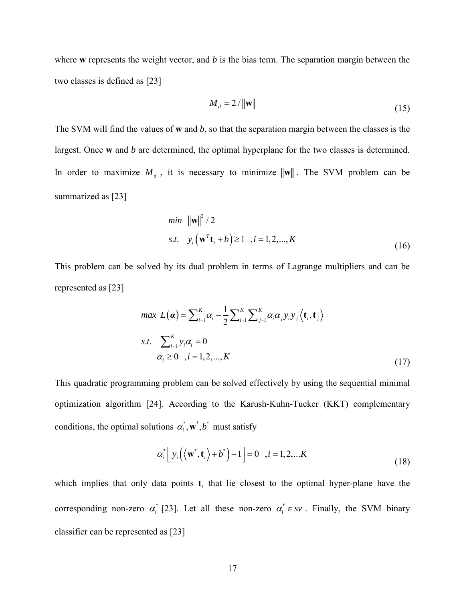where **w** represents the weight vector, and *b* is the bias term. The separation margin between the two classes is defined as [23]

$$
M_d = 2 / \|\mathbf{w}\| \tag{15}
$$

The SVM will find the values of **w** and *b*, so that the separation margin between the classes is the largest. Once **w** and *b* are determined, the optimal hyperplane for the two classes is determined. In order to maximize  $M_d$ , it is necessary to minimize  $\|\mathbf{w}\|$ . The SVM problem can be summarized as [23]

min 
$$
\|\mathbf{w}\|^2 / 2
$$
  
\ns.t.  $y_i (\mathbf{w}^T \mathbf{t}_i + b) \ge 1$ ,  $i = 1, 2, ..., K$  (16)

This problem can be solved by its dual problem in terms of Lagrange multipliers and can be represented as [23]

$$
max L(\boldsymbol{\alpha}) = \sum_{i=1}^{K} \alpha_i - \frac{1}{2} \sum_{i=1}^{K} \sum_{j=1}^{K} \alpha_i \alpha_j y_i y_j \langle \mathbf{t}_i, \mathbf{t}_j \rangle
$$
  
s.t.  $\sum_{i=1}^{K} y_i \alpha_i = 0$   
 $\alpha_i \ge 0$ ,  $i = 1, 2, ..., K$  (17)

This quadratic programming problem can be solved effectively by using the sequential minimal optimization algorithm [24]. According to the Karush-Kuhn-Tucker (KKT) complementary

conditions, the optimal solutions 
$$
\alpha_i^*, \mathbf{w}^*, b^*
$$
 must satisfy  
\n
$$
\alpha_i^* \left[ y_i \left( \left\langle \mathbf{w}^*, \mathbf{t}_i \right\rangle + b^* \right) - 1 \right] = 0 \quad , i = 1, 2, \dots K
$$
\n(18)

which implies that only data points  $t_i$  that lie closest to the optimal hyper-plane have the corresponding non-zero  $\alpha_i^*$  [23]. Let all these non-zero  $\alpha_i^* \in sv$ . Finally, the SVM binary classifier can be represented as [23]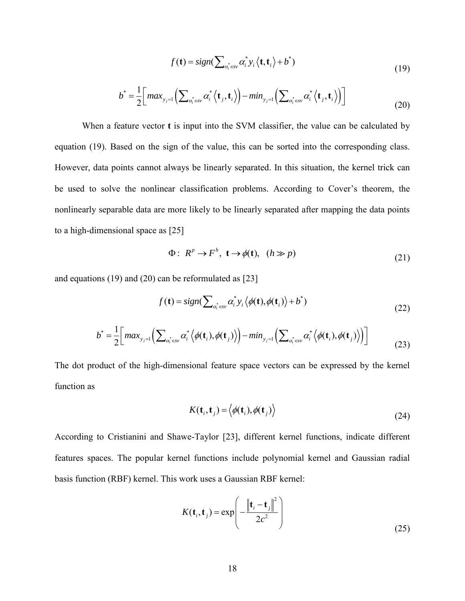$$
f(\mathbf{t}) = sign(\sum_{\alpha_i^* \in \mathcal{S}'} \alpha_i^* y_i \langle \mathbf{t}, \mathbf{t}_i \rangle + b^*)
$$
\n(19)

$$
f(\mathbf{t}) = sign(\sum_{\alpha_i^* \in \mathcal{SV}} \alpha_i^* y_i \langle \mathbf{t}, \mathbf{t}_i \rangle + b^*)
$$
\n
$$
b^* = \frac{1}{2} \Big[ max_{y_j=1} \Big( \sum_{\alpha_i^* \in \mathcal{SV}} \alpha_i^* \langle \mathbf{t}_j, \mathbf{t}_i \rangle \Big) - min_{y_j=1} \Big( \sum_{\alpha_i^* \in \mathcal{SV}} \alpha_i^* \langle \mathbf{t}_j, \mathbf{t}_i \rangle \Big) \Big]
$$
\n(19)

When a feature vector **t** is input into the SVM classifier, the value can be calculated by equation (19). Based on the sign of the value, this can be sorted into the corresponding class. However, data points cannot always be linearly separated. In this situation, the kernel trick can be used to solve the nonlinear classification problems. According to Cover's theorem, the nonlinearly separable data are more likely to be linearly separated after mapping the data points to a high-dimensional space as [25]

$$
\Phi: R^p \to F^h, \ \mathbf{t} \to \phi(\mathbf{t}), \ \ (h \gg p) \tag{21}
$$

and equations (19) and (20) can be reformulated as [23]

$$
f(\mathbf{t}) = sign(\sum_{\alpha_i^* \in \mathcal{S}'} \alpha_i^* y_i \langle \phi(\mathbf{t}), \phi(\mathbf{t}_i) \rangle + b^*)
$$
\n(22)

$$
f(\mathbf{t}) = sign(\sum_{\alpha_i^* \in \mathcal{S}'} \alpha_i^* y_i \langle \phi(\mathbf{t}), \phi(\mathbf{t}_i) \rangle + b^*)
$$
\n
$$
b^* = \frac{1}{2} \Big[ max_{y_j=1} \Big( \sum_{\alpha_i^* \in \mathcal{S}'} \alpha_i^* \langle \phi(\mathbf{t}_i), \phi(\mathbf{t}_j) \rangle \Big) - min_{y_j=1} \Big( \sum_{\alpha_i^* \in \mathcal{S}'} \alpha_i^* \langle \phi(\mathbf{t}_i), \phi(\mathbf{t}_j) \rangle \Big) \Big]
$$
\n(22)

The dot product of the high-dimensional feature space vectors can be expressed by the kernel function as

$$
K(\mathbf{t}_i, \mathbf{t}_j) = \langle \phi(\mathbf{t}_i), \phi(\mathbf{t}_j) \rangle
$$
 (24)

According to Cristianini and Shawe-Taylor [23], different kernel functions, indicate different features spaces. The popular kernel functions include polynomial kernel and Gaussian radial basis function (RBF) kernel. This work uses a Gaussian RBF kernel:

$$
K(\mathbf{t}_i, \mathbf{t}_j) = \exp\left(-\frac{\left\|\mathbf{t}_i - \mathbf{t}_j\right\|^2}{2c^2}\right)
$$
\n(25)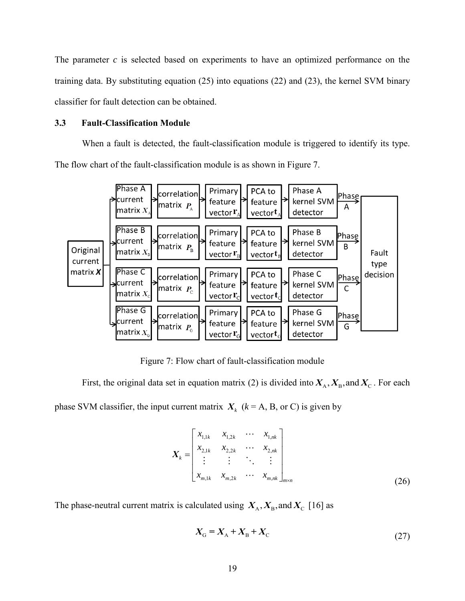The parameter *c* is selected based on experiments to have an optimized performance on the training data. By substituting equation (25) into equations (22) and (23), the kernel SVM binary classifier for fault detection can be obtained.

#### <span id="page-27-0"></span>**3.3 Fault-Classification Module**

When a fault is detected, the fault-classification module is triggered to identify its type. The flow chart of the fault-classification module is as shown in Figure 7.



Figure 7: Flow chart of fault-classification module

First, the original data set in equation matrix (2) is divided into  $X_A, X_B$ , and  $X_C$ . For each phase SVM classifier, the input current matrix  $X_k$  ( $k = A$ , B, or C) is given by

$$
\boldsymbol{X}_{k} = \begin{bmatrix} x_{1,1k} & x_{1,2k} & \cdots & x_{1,nk} \\ x_{2,1k} & x_{2,2k} & \cdots & x_{2,nk} \\ \vdots & \vdots & \ddots & \vdots \\ x_{m,1k} & x_{m,2k} & \cdots & x_{m,nk} \end{bmatrix}_{m \times n}
$$
 (26)

The phase-neutral current matrix is calculated using  $X_A$ ,  $X_B$ , and  $X_C$  [16] as

$$
X_{G} = X_{A} + X_{B} + X_{C}
$$
 (27)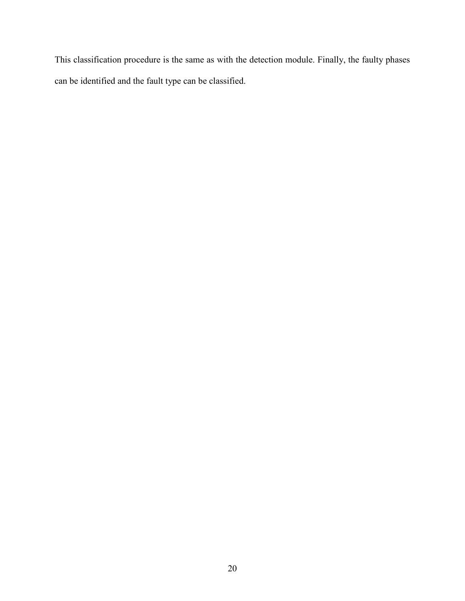This classification procedure is the same as with the detection module. Finally, the faulty phases can be identified and the fault type can be classified.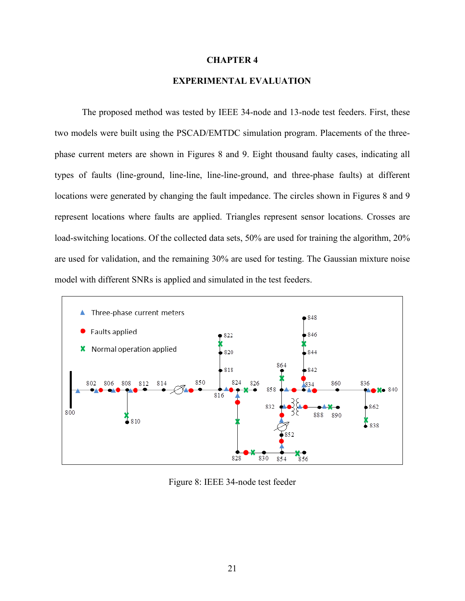#### **CHAPTER 4**

### **EXPERIMENTAL EVALUATION**

<span id="page-29-0"></span>The proposed method was tested by IEEE 34-node and 13-node test feeders. First, these two models were built using the PSCAD/EMTDC simulation program. Placements of the threephase current meters are shown in Figures 8 and 9. Eight thousand faulty cases, indicating all types of faults (line-ground, line-line, line-line-ground, and three-phase faults) at different locations were generated by changing the fault impedance. The circles shown in Figures 8 and 9 represent locations where faults are applied. Triangles represent sensor locations. Crosses are load-switching locations. Of the collected data sets, 50% are used for training the algorithm, 20% are used for validation, and the remaining 30% are used for testing. The Gaussian mixture noise model with different SNRs is applied and simulated in the test feeders.



Figure 8: IEEE 34-node test feeder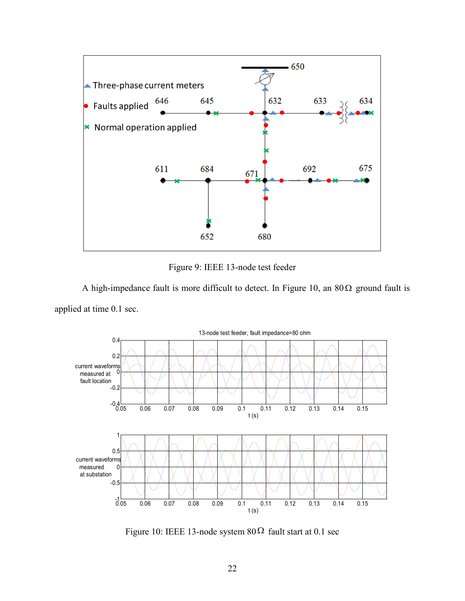

Figure 9: IEEE 13-node test feeder

A high-impedance fault is more difficult to detect. In Figure 10, an  $80\Omega$  ground fault is applied at time 0.1 sec.



Figure 10: IEEE 13-node system  $80\Omega$  fault start at 0.1 sec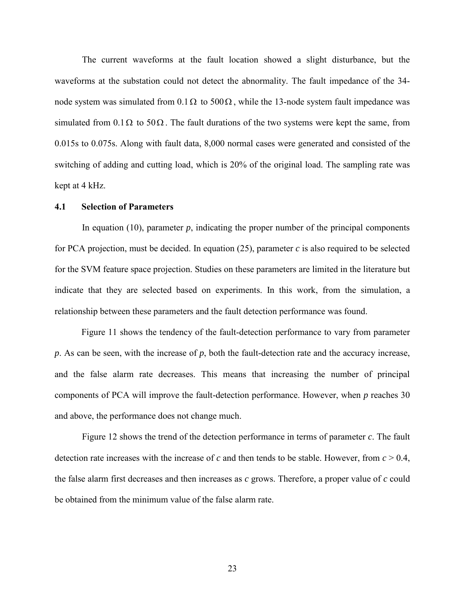The current waveforms at the fault location showed a slight disturbance, but the waveforms at the substation could not detect the abnormality. The fault impedance of the 34 node system was simulated from  $0.1 \Omega$  to  $500 \Omega$ , while the 13-node system fault impedance was simulated from  $0.1 \Omega$  to  $50 \Omega$ . The fault durations of the two systems were kept the same, from 0.015s to 0.075s. Along with fault data, 8,000 normal cases were generated and consisted of the switching of adding and cutting load, which is 20% of the original load. The sampling rate was kept at 4 kHz.

#### <span id="page-31-0"></span>**4.1 Selection of Parameters**

In equation  $(10)$ , parameter  $p$ , indicating the proper number of the principal components for PCA projection, must be decided. In equation (25), parameter *c* is also required to be selected for the SVM feature space projection. Studies on these parameters are limited in the literature but indicate that they are selected based on experiments. In this work, from the simulation, a relationship between these parameters and the fault detection performance was found.

 Figure 11 shows the tendency of the fault-detection performance to vary from parameter *p*. As can be seen, with the increase of *p*, both the fault-detection rate and the accuracy increase, and the false alarm rate decreases. This means that increasing the number of principal components of PCA will improve the fault-detection performance. However, when *p* reaches 30 and above, the performance does not change much.

Figure 12 shows the trend of the detection performance in terms of parameter *c*. The fault detection rate increases with the increase of *c* and then tends to be stable. However, from  $c > 0.4$ , the false alarm first decreases and then increases as *c* grows. Therefore, a proper value of *c* could be obtained from the minimum value of the false alarm rate.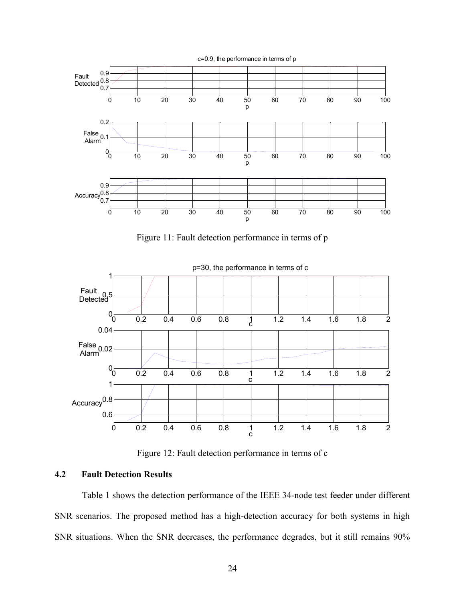

Figure 11: Fault detection performance in terms of p



Figure 12: Fault detection performance in terms of c

### <span id="page-32-0"></span>**4.2 Fault Detection Results**

Table 1 shows the detection performance of the IEEE 34-node test feeder under different SNR scenarios. The proposed method has a high-detection accuracy for both systems in high SNR situations. When the SNR decreases, the performance degrades, but it still remains 90%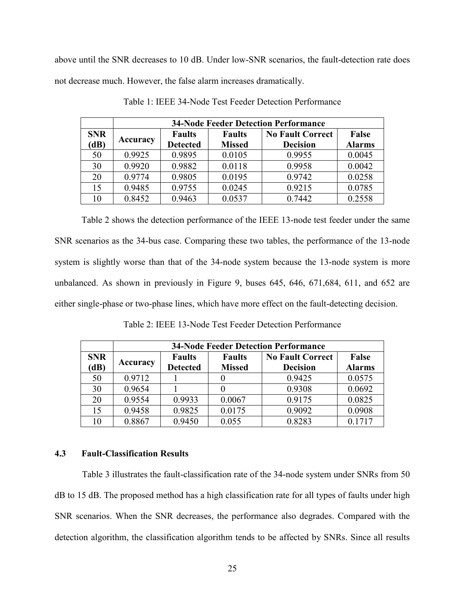above until the SNR decreases to 10 dB. Under low-SNR scenarios, the fault-detection rate does not decrease much. However, the false alarm increases dramatically.

|            | <b>34-Node Feeder Detection Performance</b> |                                  |               |                         |               |  |  |  |  |  |  |  |
|------------|---------------------------------------------|----------------------------------|---------------|-------------------------|---------------|--|--|--|--|--|--|--|
| <b>SNR</b> | Accuracy                                    | <b>Faults</b>                    | <b>Faults</b> | <b>No Fault Correct</b> | False         |  |  |  |  |  |  |  |
| (dB)       |                                             | <b>Missed</b><br><b>Detected</b> |               | <b>Decision</b>         | <b>Alarms</b> |  |  |  |  |  |  |  |
| 50         | 0.9925                                      | 0.9895                           | 0.0105        | 0.9955                  | 0.0045        |  |  |  |  |  |  |  |
| 30         | 0.9920                                      | 0.9882                           | 0.0118        | 0.9958                  | 0.0042        |  |  |  |  |  |  |  |
| 20         | 0.9774                                      | 0.9805                           | 0.0195        | 0.9742                  | 0.0258        |  |  |  |  |  |  |  |
| 15         | 0.9485                                      | 0.9755                           | 0.0245        | 0.9215                  | 0.0785        |  |  |  |  |  |  |  |
| 10         | 0.8452                                      | 0.9463                           | 0.0537        | 0.7442                  | 0.2558        |  |  |  |  |  |  |  |

Table 1: IEEE 34-Node Test Feeder Detection Performance

 Table 2 shows the detection performance of the IEEE 13-node test feeder under the same SNR scenarios as the 34-bus case. Comparing these two tables, the performance of the 13-node system is slightly worse than that of the 34-node system because the 13-node system is more unbalanced. As shown in previously in Figure 9, buses 645, 646, 671,684, 611, and 652 are either single-phase or two-phase lines, which have more effect on the fault-detecting decision.

**34-Node Feeder Detection Performance SNR (AB) Accuracy Faults Reduced Reduced Reduced Reduced Reduced Reduced Reduced Reduced Reduced Reduced Reduced Reduced Reduced Reduced Reduced Reduced Reduced Reduced Reduced Redu Detected Faults Missed No Fault Correct Decision False Alarms** 50 0.9712 1 0 0.9425 0.0575 30 0.9654 1 0 0.9308 0.0692 20 0.9554 0.9933 0.0067 0.9175 0.0825 15 | 0.9458 | 0.9825 | 0.0175 | 0.9092 | 0.0908 10 0.8867 0.9450 0.055 0.8283 0.1717

Table 2: IEEE 13-Node Test Feeder Detection Performance

#### <span id="page-33-0"></span>**4.3 Fault-Classification Results**

Table 3 illustrates the fault-classification rate of the 34-node system under SNRs from 50 dB to 15 dB. The proposed method has a high classification rate for all types of faults under high SNR scenarios. When the SNR decreases, the performance also degrades. Compared with the detection algorithm, the classification algorithm tends to be affected by SNRs. Since all results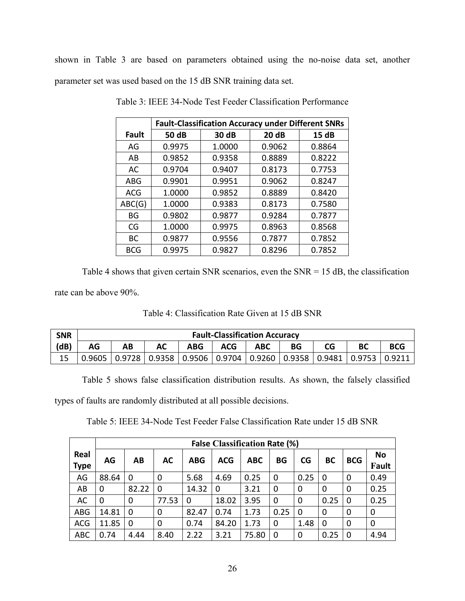shown in Table 3 are based on parameters obtained using the no-noise data set, another parameter set was used based on the 15 dB SNR training data set.

|              | <b>Fault-Classification Accuracy under Different SNRs</b> |        |        |        |  |  |  |  |  |  |  |
|--------------|-----------------------------------------------------------|--------|--------|--------|--|--|--|--|--|--|--|
| <b>Fault</b> | <b>50 dB</b>                                              | 30 dB  | 20 dB  | 15 dB  |  |  |  |  |  |  |  |
| AG           | 0.9975                                                    | 1.0000 | 0.9062 | 0.8864 |  |  |  |  |  |  |  |
| AB           | 0.9852                                                    | 0.9358 | 0.8889 | 0.8222 |  |  |  |  |  |  |  |
| AC           | 0.9704                                                    | 0.9407 | 0.8173 | 0.7753 |  |  |  |  |  |  |  |
| ABG          | 0.9901                                                    | 0.9951 | 0.9062 | 0.8247 |  |  |  |  |  |  |  |
| <b>ACG</b>   | 1.0000                                                    | 0.9852 | 0.8889 | 0.8420 |  |  |  |  |  |  |  |
| ABC(G)       | 1.0000                                                    | 0.9383 | 0.8173 | 0.7580 |  |  |  |  |  |  |  |
| BG           | 0.9802                                                    | 0.9877 | 0.9284 | 0.7877 |  |  |  |  |  |  |  |
| CG           | 1.0000                                                    | 0.9975 | 0.8963 | 0.8568 |  |  |  |  |  |  |  |
| <b>BC</b>    | 0.9877                                                    | 0.9556 | 0.7877 | 0.7852 |  |  |  |  |  |  |  |
| <b>BCG</b>   | 0.9975                                                    | 0.9827 | 0.8296 | 0.7852 |  |  |  |  |  |  |  |

Table 3: IEEE 34-Node Test Feeder Classification Performance

Table 4 shows that given certain SNR scenarios, even the SNR = 15 dB, the classification rate can be above 90%.

|  |  |  | Table 4: Classification Rate Given at 15 dB SNR |
|--|--|--|-------------------------------------------------|
|--|--|--|-------------------------------------------------|

| <b>SNR</b> | <b>Fault-Classification Accuracy</b> |                                                                                           |  |     |            |            |    |    |  |            |
|------------|--------------------------------------|-------------------------------------------------------------------------------------------|--|-----|------------|------------|----|----|--|------------|
| (dB)       | AG                                   | AB                                                                                        |  | ABG | <b>ACG</b> | <b>ABC</b> | ΒG | CG |  | <b>BCG</b> |
|            |                                      | $0.9605$   0.9728   0.9358   0.9506   0.9704   0.9260   0.9358   0.9481   0.9753   0.9211 |  |     |            |            |    |    |  |            |

Table 5 shows false classification distribution results. As shown, the falsely classified

types of faults are randomly distributed at all possible decisions.

Table 5: IEEE 34-Node Test Feeder False Classification Rate under 15 dB SNR

|                     |       | <b>False Classification Rate (%)</b> |             |            |            |            |           |          |          |            |             |  |
|---------------------|-------|--------------------------------------|-------------|------------|------------|------------|-----------|----------|----------|------------|-------------|--|
| Real<br><b>Type</b> | AG    | AB                                   | <b>AC</b>   | <b>ABG</b> | <b>ACG</b> | <b>ABC</b> | <b>BG</b> | CG       | BC       | <b>BCG</b> | No<br>Fault |  |
| AG                  | 88.64 | 0                                    | $\mathbf 0$ | 5.68       | 4.69       | 0.25       | 0         | 0.25     | $\Omega$ | 0          | 0.49        |  |
| AB                  | 0     | 82.22                                | $\Omega$    | 14.32      | 0          | 3.21       | 0         | 0        | 0        | 0          | 0.25        |  |
| AC                  | 0     | 0                                    | 77.53       | 0          | 18.02      | 3.95       | 0         | 0        | 0.25     | $\Omega$   | 0.25        |  |
| <b>ABG</b>          | 14.81 | $\overline{0}$                       | 0           | 82.47      | 0.74       | 1.73       | 0.25      | $\Omega$ | 0        | 0          | 0           |  |
| <b>ACG</b>          | 11.85 | 0                                    | $\mathbf 0$ | 0.74       | 84.20      | 1.73       | 0         | 1.48     | $\Omega$ | 0          | 0           |  |
| <b>ABC</b>          | 0.74  | 4.44                                 | 8.40        | 2.22       | 3.21       | 75.80      | 0         | 0        | 0.25     | $\Omega$   | 4.94        |  |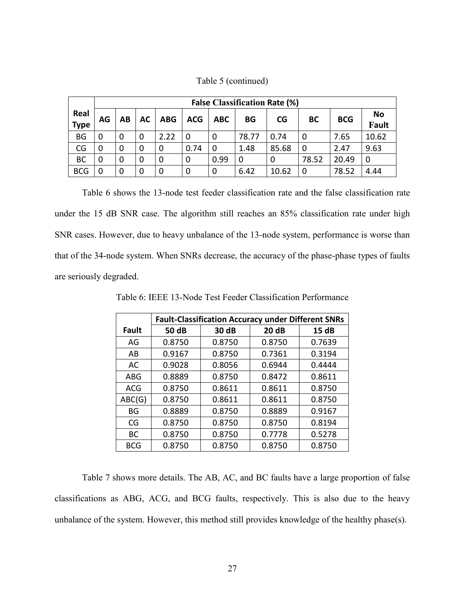| Table 5 (continued) |  |
|---------------------|--|
|---------------------|--|

|             |    | <b>False Classification Rate (%)</b> |             |            |            |            |       |           |           |            |           |  |  |
|-------------|----|--------------------------------------|-------------|------------|------------|------------|-------|-----------|-----------|------------|-----------|--|--|
| Real        | AG | AB                                   | <b>AC</b>   | <b>ABG</b> | <b>ACG</b> | <b>ABC</b> | BG    | <b>CG</b> | <b>BC</b> | <b>BCG</b> | <b>No</b> |  |  |
| <b>Type</b> |    |                                      |             |            |            |            |       |           |           |            | Fault     |  |  |
| <b>BG</b>   |    | 0                                    | 0           | 2.22       | $\Omega$   | 0          | 78.77 | 0.74      | 0         | 7.65       | 10.62     |  |  |
| CG          |    | 0                                    | 0           | 0          | 0.74       | 0          | 1.48  | 85.68     | $\Omega$  | 2.47       | 9.63      |  |  |
| <b>BC</b>   |    | 0                                    | $\mathbf 0$ | 0          | 0          | 0.99       | 0     | 0         | 78.52     | 20.49      | 0         |  |  |
| <b>BCG</b>  |    | 0                                    | 0           | 0          | 0          | 0          | 6.42  | 10.62     | $\Omega$  | 78.52      | 4.44      |  |  |

Table 6 shows the 13-node test feeder classification rate and the false classification rate under the 15 dB SNR case. The algorithm still reaches an 85% classification rate under high SNR cases. However, due to heavy unbalance of the 13-node system, performance is worse than that of the 34-node system. When SNRs decrease, the accuracy of the phase-phase types of faults are seriously degraded.

|              | <b>Fault-Classification Accuracy under Different SNRs</b> |        |        |        |  |  |  |  |  |  |  |
|--------------|-----------------------------------------------------------|--------|--------|--------|--|--|--|--|--|--|--|
| <b>Fault</b> | 50 dB                                                     | 30 dB  | 20 dB  | 15 dB  |  |  |  |  |  |  |  |
| AG           | 0.8750                                                    | 0.8750 | 0.8750 | 0.7639 |  |  |  |  |  |  |  |
| AB           | 0.9167                                                    | 0.8750 | 0.7361 | 0.3194 |  |  |  |  |  |  |  |
| AC           | 0.9028                                                    | 0.8056 | 0.6944 | 0.4444 |  |  |  |  |  |  |  |
| <b>ABG</b>   | 0.8889                                                    | 0.8750 | 0.8472 | 0.8611 |  |  |  |  |  |  |  |
| <b>ACG</b>   | 0.8750                                                    | 0.8611 | 0.8611 | 0.8750 |  |  |  |  |  |  |  |
| ABC(G)       | 0.8750                                                    | 0.8611 | 0.8611 | 0.8750 |  |  |  |  |  |  |  |
| BG           | 0.8889                                                    | 0.8750 | 0.8889 | 0.9167 |  |  |  |  |  |  |  |
| CG           | 0.8750                                                    | 0.8750 | 0.8750 | 0.8194 |  |  |  |  |  |  |  |
| BC           | 0.8750                                                    | 0.8750 | 0.7778 | 0.5278 |  |  |  |  |  |  |  |
| <b>BCG</b>   | 0.8750                                                    | 0.8750 | 0.8750 | 0.8750 |  |  |  |  |  |  |  |

Table 6: IEEE 13-Node Test Feeder Classification Performance

Table 7 shows more details. The AB, AC, and BC faults have a large proportion of false classifications as ABG, ACG, and BCG faults, respectively. This is also due to the heavy unbalance of the system. However, this method still provides knowledge of the healthy phase(s).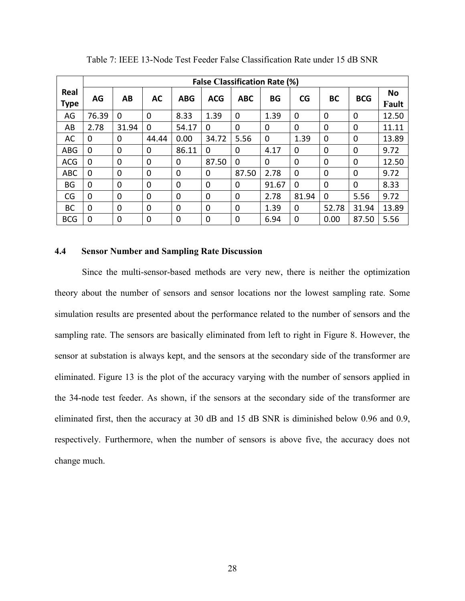|                     | <b>False Classification Rate (%)</b> |             |             |             |             |             |           |             |             |             |                    |
|---------------------|--------------------------------------|-------------|-------------|-------------|-------------|-------------|-----------|-------------|-------------|-------------|--------------------|
| Real<br><b>Type</b> | AG                                   | AB          | <b>AC</b>   | <b>ABG</b>  | <b>ACG</b>  | <b>ABC</b>  | <b>BG</b> | CG          | <b>BC</b>   | <b>BCG</b>  | <b>No</b><br>Fault |
| AG                  | 76.39                                | $\mathbf 0$ | $\mathbf 0$ | 8.33        | 1.39        | $\mathbf 0$ | 1.39      | 0           | 0           | $\mathbf 0$ | 12.50              |
| AB                  | 2.78                                 | 31.94       | $\Omega$    | 54.17       | $\Omega$    | $\Omega$    | $\Omega$  | $\mathbf 0$ | 0           | $\mathbf 0$ | 11.11              |
| AC                  | 0                                    | $\mathbf 0$ | 44.44       | 0.00        | 34.72       | 5.56        | 0         | 1.39        | 0           | $\mathbf 0$ | 13.89              |
| <b>ABG</b>          | 0                                    | 0           | $\mathbf 0$ | 86.11       | 0           | 0           | 4.17      | 0           | 0           | $\mathbf 0$ | 9.72               |
| <b>ACG</b>          | 0                                    | 0           | $\mathbf 0$ | 0           | 87.50       | $\Omega$    | $\Omega$  | 0           | 0           | 0           | 12.50              |
| <b>ABC</b>          | 0                                    | $\mathbf 0$ | 0           | 0           | 0           | 87.50       | 2.78      | 0           | 0           | $\mathbf 0$ | 9.72               |
| BG                  | 0                                    | 0           | $\mathbf 0$ | 0           | $\mathbf 0$ | 0           | 91.67     | 0           | $\mathbf 0$ | 0           | 8.33               |
| CG                  | 0                                    | 0           | $\mathbf 0$ | 0           | 0           | 0           | 2.78      | 81.94       | 0           | 5.56        | 9.72               |
| BC                  | 0                                    | 0           | $\mathbf 0$ | 0           | 0           | $\Omega$    | 1.39      | 0           | 52.78       | 31.94       | 13.89              |
| <b>BCG</b>          | 0                                    | 0           | 0           | $\mathbf 0$ | $\mathbf 0$ | 0           | 6.94      | 0           | 0.00        | 87.50       | 5.56               |

Table 7: IEEE 13-Node Test Feeder False Classification Rate under 15 dB SNR

### <span id="page-36-0"></span>**4.4 Sensor Number and Sampling Rate Discussion**

Since the multi-sensor-based methods are very new, there is neither the optimization theory about the number of sensors and sensor locations nor the lowest sampling rate. Some simulation results are presented about the performance related to the number of sensors and the sampling rate. The sensors are basically eliminated from left to right in Figure 8. However, the sensor at substation is always kept, and the sensors at the secondary side of the transformer are eliminated. Figure 13 is the plot of the accuracy varying with the number of sensors applied in the 34-node test feeder. As shown, if the sensors at the secondary side of the transformer are eliminated first, then the accuracy at 30 dB and 15 dB SNR is diminished below 0.96 and 0.9, respectively. Furthermore, when the number of sensors is above five, the accuracy does not change much.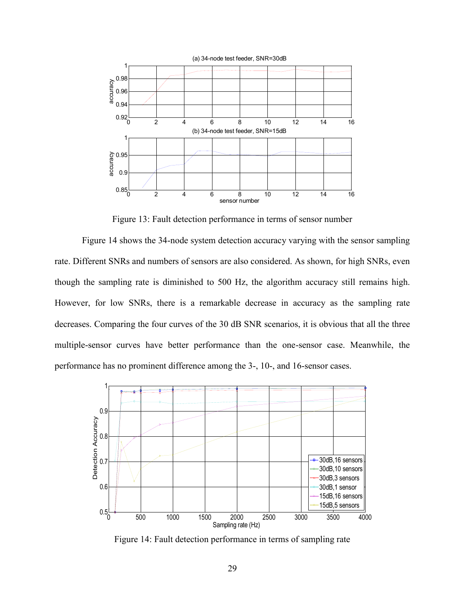

Figure 13: Fault detection performance in terms of sensor number

Figure 14 shows the 34-node system detection accuracy varying with the sensor sampling rate. Different SNRs and numbers of sensors are also considered. As shown, for high SNRs, even though the sampling rate is diminished to 500 Hz, the algorithm accuracy still remains high. However, for low SNRs, there is a remarkable decrease in accuracy as the sampling rate decreases. Comparing the four curves of the 30 dB SNR scenarios, it is obvious that all the three multiple-sensor curves have better performance than the one-sensor case. Meanwhile, the performance has no prominent difference among the 3-, 10-, and 16-sensor cases.



Figure 14: Fault detection performance in terms of sampling rate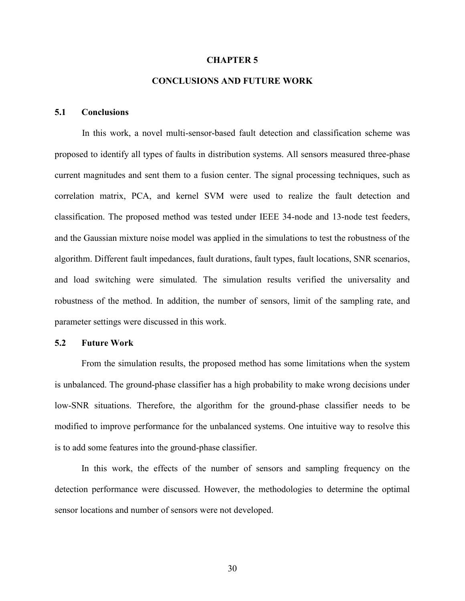#### **CHAPTER 5**

### **CONCLUSIONS AND FUTURE WORK**

### <span id="page-38-1"></span><span id="page-38-0"></span>**5.1 Conclusions**

In this work, a novel multi-sensor-based fault detection and classification scheme was proposed to identify all types of faults in distribution systems. All sensors measured three-phase current magnitudes and sent them to a fusion center. The signal processing techniques, such as correlation matrix, PCA, and kernel SVM were used to realize the fault detection and classification. The proposed method was tested under IEEE 34-node and 13-node test feeders, and the Gaussian mixture noise model was applied in the simulations to test the robustness of the algorithm. Different fault impedances, fault durations, fault types, fault locations, SNR scenarios, and load switching were simulated. The simulation results verified the universality and robustness of the method. In addition, the number of sensors, limit of the sampling rate, and parameter settings were discussed in this work.

### <span id="page-38-2"></span>**5.2 Future Work**

 From the simulation results, the proposed method has some limitations when the system is unbalanced. The ground-phase classifier has a high probability to make wrong decisions under low-SNR situations. Therefore, the algorithm for the ground-phase classifier needs to be modified to improve performance for the unbalanced systems. One intuitive way to resolve this is to add some features into the ground-phase classifier.

 In this work, the effects of the number of sensors and sampling frequency on the detection performance were discussed. However, the methodologies to determine the optimal sensor locations and number of sensors were not developed.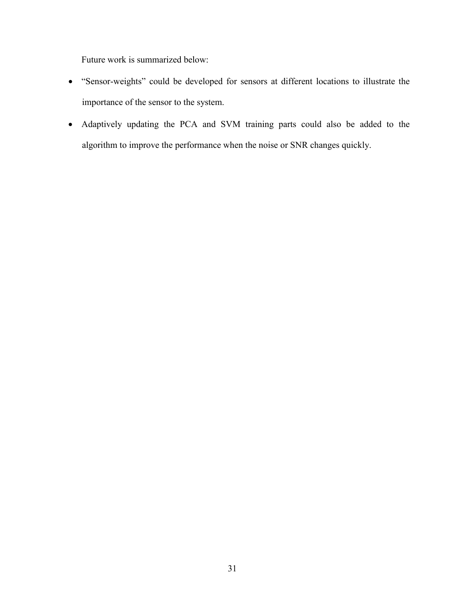Future work is summarized below:

- "Sensor-weights" could be developed for sensors at different locations to illustrate the importance of the sensor to the system.
- Adaptively updating the PCA and SVM training parts could also be added to the algorithm to improve the performance when the noise or SNR changes quickly.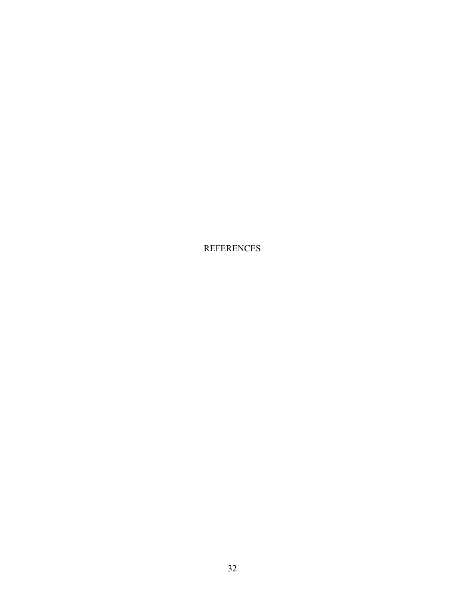REFERENCES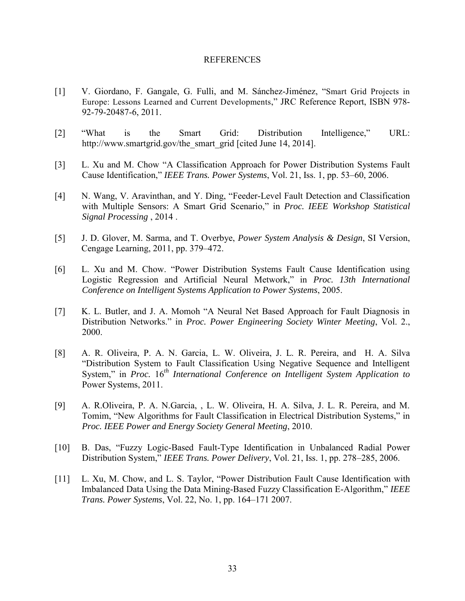#### REFERENCES

- [1] V. Giordano, F. Gangale, G. Fulli, and M. Sánchez-Jiménez, "Smart Grid Projects in Europe: Lessons Learned and Current Developments," JRC Reference Report, ISBN 978- 92-79-20487-6, 2011.
- [2] "What is the Smart Grid: Distribution Intelligence," URL: [http://www.smartgrid.gov/the\\_smart\\_grid](http://www.smartgrid.gov/the_smart_grid) [cited June 14, 2014].
- [3] L. Xu and M. Chow "A Classification Approach for Power Distribution Systems Fault Cause Identification," *IEEE Trans. Power Systems*, Vol. 21, Iss. 1, pp. 53–60, 2006.
- [4] N. Wang, V. Aravinthan, and Y. Ding, "Feeder-Level Fault Detection and Classification with Multiple Sensors: A Smart Grid Scenario," in *Proc. IEEE Workshop Statistical Signal Processing* , 2014 .
- [5] J. D. Glover, M. Sarma, and T. Overbye, *Power System Analysis & Design*, SI Version, Cengage Learning, 2011, pp. 379–472.
- [6] L. Xu and M. Chow. "Power Distribution Systems Fault Cause Identification using Logistic Regression and Artificial Neural Metwork," in *Proc. 13th International Conference on Intelligent Systems Application to Power Systems*, 2005.
- [7] K. L. Butler, and J. A. Momoh "A Neural Net Based Approach for Fault Diagnosis in Distribution Networks." in *Proc. Power Engineering Society Winter Meeting*, Vol. 2., 2000.
- [8] A. R. Oliveira, P. A. N. Garcia, L. W. Oliveira, J. L. R. Pereira, and H. A. Silva "Distribution System to Fault Classification Using Negative Sequence and Intelligent System," in *Proc.* 16*th International Conference on Intelligent System Application to*  Power Systems, 2011.
- [9] A. R.Oliveira, P. A. N.Garcia, , L. W. Oliveira, H. A. Silva, J. L. R. Pereira, and M. Tomim, "New Algorithms for Fault Classification in Electrical Distribution Systems," in *Proc. IEEE Power and Energy Society General Meeting*, 2010.
- [10] B. Das, "Fuzzy Logic-Based Fault-Type Identification in Unbalanced Radial Power Distribution System," *IEEE Trans. Power Delivery*, Vol. 21, Iss. 1, pp. 278–285, 2006.
- [11] L. Xu, M. Chow, and L. S. Taylor, "Power Distribution Fault Cause Identification with Imbalanced Data Using the Data Mining-Based Fuzzy Classification E-Algorithm," *IEEE Trans. Power Systems*, Vol. 22, No. 1, pp. 164–171 2007.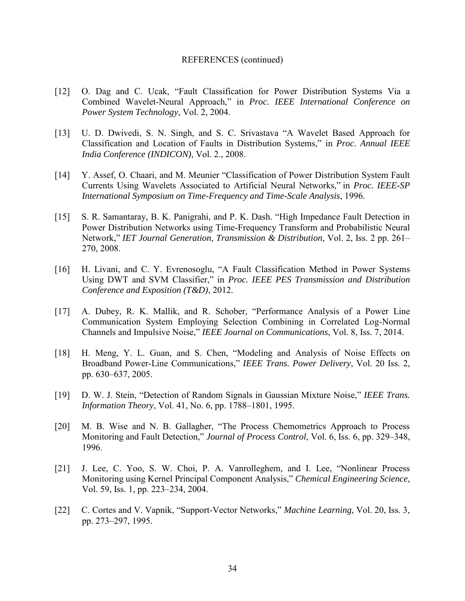#### REFERENCES (continued)

- [12] O. Dag and C. Ucak, "Fault Classification for Power Distribution Systems Via a Combined Wavelet-Neural Approach," in *Proc. IEEE International Conference on Power System Technology*, Vol. 2, 2004.
- [13] U. D. Dwivedi, S. N. Singh, and S. C. Srivastava "A Wavelet Based Approach for Classification and Location of Faults in Distribution Systems," in *Proc. Annual IEEE India Conference (INDICON)*, Vol. 2., 2008.
- [14] Y. Assef, O. Chaari, and M. Meunier "Classification of Power Distribution System Fault Currents Using Wavelets Associated to Artificial Neural Networks," in *Proc. IEEE-SP International Symposium on Time-Frequency and Time-Scale Analysis*, 1996.
- [15] S. R. Samantaray, B. K. Panigrahi, and P. K. Dash. "High Impedance Fault Detection in Power Distribution Networks using Time-Frequency Transform and Probabilistic Neural Network," *IET Journal Generation*, *Transmission & Distribution*, Vol. 2, Iss. 2 pp. 261– 270, 2008.
- [16] H. Livani, and C. Y. Evrenosoglu, "A Fault Classification Method in Power Systems Using DWT and SVM Classifier," in *Proc. IEEE PES Transmission and Distribution Conference and Exposition (T&D)*, 2012.
- [17] A. Dubey, R. K. Mallik, and R. Schober, "Performance Analysis of a Power Line Communication System Employing Selection Combining in Correlated Log-Normal Channels and Impulsive Noise," *IEEE Journal on Communications*, Vol. 8, Iss. 7, 2014.
- [18] H. Meng, Y. L. Guan, and S. Chen, "Modeling and Analysis of Noise Effects on Broadband Power-Line Communications," *IEEE Trans. Power Delivery*, Vol. 20 Iss. 2, pp. 630–637, 2005.
- [19] D. W. J. Stein, "Detection of Random Signals in Gaussian Mixture Noise," *IEEE Trans. Information Theory*, Vol. 41, No. 6, pp. 1788–1801, 1995.
- [20] M. B. Wise and N. B. Gallagher, "The Process Chemometrics Approach to Process Monitoring and Fault Detection," *Journal of Process Control*, Vol. 6, Iss. 6, pp. 329–348, 1996.
- [21] J. Lee, C. Yoo, S. W. Choi, P. A. Vanrolleghem, and I. Lee, "Nonlinear Process Monitoring using Kernel Principal Component Analysis," *Chemical Engineering Science*, Vol. 59, Iss. 1, pp. 223–234, 2004.
- [22] C. Cortes and V. Vapnik, "Support-Vector Networks," *Machine Learning*, Vol. 20, Iss. 3, pp. 273–297, 1995.